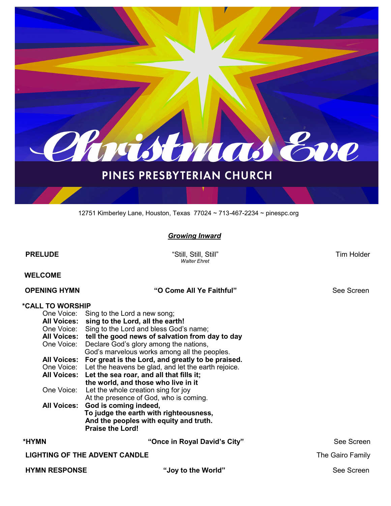

# PINES PRESBYTERIAN CHURCH

12751 Kimberley Lane, Houston, Texas 77024 ~ 713-467-2234 ~ pinespc.org

### *Growing Inward*

**PRELUDE** Tim Holder **Contract Contract Contract Contract Contract Contract Contract Contract Contract Contract Contract Contract Contract Contract Contract Contract Contract Contract Contract Contract Contract Contract Co**  *Walter Ehret*  **WELCOME OPENING HYMN "O Come All Ye Faithful"** See Screen **\*CALL TO WORSHIP** One Voice: Sing to the Lord a new song; **All Voices: sing to the Lord, all the earth!** One Voice: Sing to the Lord and bless God's name; **All Voices: tell the good news of salvation from day to day**<br>One Voice: Declare God's glory among the nations. Declare God's glory among the nations, God's marvelous works among all the peoples. **All Voices: For great is the Lord, and greatly to be praised.** One Voice: Let the heavens be glad, and let the earth rejoice. **All Voices: Let the sea roar, and all that fills it;**

 At the presence of God, who is coming. **All Voices: God is coming indeed, To judge the earth with righteousness, And the peoples with equity and truth. Praise the Lord! \*HYMN "Once in Royal David's City"** See Screen **LIGHTING OF THE ADVENT CANDLE The Gairs Family 1999** The Gairo Family

 **the world, and those who live in it** 

One Voice: Let the whole creation sing for joy

**HYMN RESPONSE "Joy to the World"** See Screen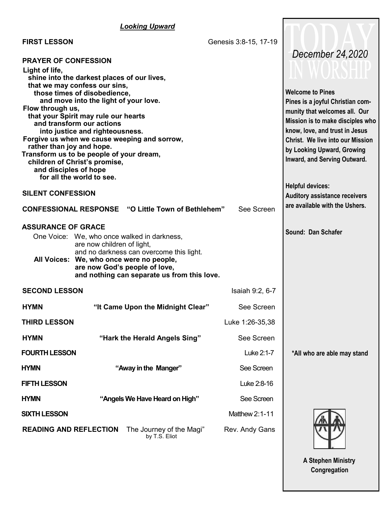# *Looking Upward*

 **FIRST LESSON** Genesis 3:8-15, 17-19  **PRAYER OF CONFESSION Light of life, shine into the darkest places of our lives, that we may confess our sins, those times of disobedience, and move into the light of your love. Flow through us, that your Spirit may rule our hearts and transform our actions into justice and righteousness. Forgive us when we cause weeping and sorrow, rather than joy and hope. Transform us to be people of your dream, children of Christ's promise, and disciples of hope for all the world to see. SILENT CONFESSION CONFESSIONAL RESPONSE "O Little Town of Bethlehem"** See Screen  **ASSURANCE OF GRACE** One Voice: We, who once walked in darkness, are now children of light, and no darkness can overcome this light.  **All Voices: We, who once were no people, are now God's people of love, and nothing can separate us from this love. SECOND LESSON ISAIA** 19:2, 6-7 **Welcome to Pines Pines is a joyful Christian community that welcomes all. Our Mission is to make disciples who know, love, and trust in Jesus Christ. We live into our Mission by Looking Upward, Growing Inward, and Serving Outward. Helpful devices: Auditory assistance receivers are available with the Ushers. Sound: Dan Schafer**  *December 24,2020*

| HYMN                          | "It Came Upon the Midnight Clear"         | See Screen       |
|-------------------------------|-------------------------------------------|------------------|
| <b>THIRD LESSON</b>           |                                           | Luke 1:26-35,38  |
| HYMN                          | "Hark the Herald Angels Sing"             | See Screen       |
| <b>FOURTH LESSON</b>          |                                           | Luke 2:1-7       |
| <b>HYMN</b>                   | "Away in the Manger"                      | See Screen       |
| <b>FIFTH LESSON</b>           |                                           | Luke 2:8-16      |
| <b>HYMN</b>                   | "Angels We Have Heard on High"            | See Screen       |
| <b>SIXTH LESSON</b>           |                                           | Matthew $2.1-11$ |
| <b>READING AND REFLECTION</b> | The Journey of the Magi"<br>by T.S. Eliot | Rev. Andy Gans   |

 **\*All who are able may stand**

 **A Stephen Ministry Congregation**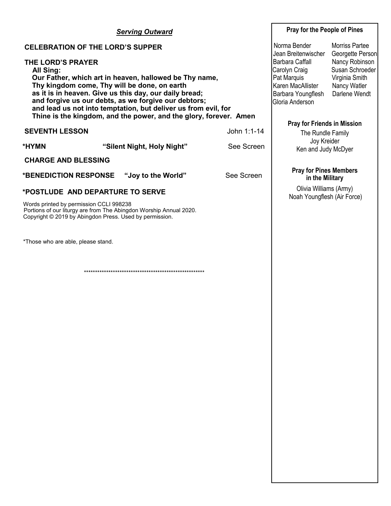| <b>Serving Outward</b>                                                                                                                                                                                                                                                                                                                                                                                   |                            |            | Pray for the People of Pines                                                                                                                                                                                              |                       |
|----------------------------------------------------------------------------------------------------------------------------------------------------------------------------------------------------------------------------------------------------------------------------------------------------------------------------------------------------------------------------------------------------------|----------------------------|------------|---------------------------------------------------------------------------------------------------------------------------------------------------------------------------------------------------------------------------|-----------------------|
| <b>CELEBRATION OF THE LORD'S SUPPER</b>                                                                                                                                                                                                                                                                                                                                                                  |                            |            | Norma Bender<br>Jean Breitenwischer                                                                                                                                                                                       | <b>Morriss Partee</b> |
| <b>THE LORD'S PRAYER</b><br>All Sing:<br>Our Father, which art in heaven, hallowed be Thy name,<br>Thy kingdom come, Thy will be done, on earth<br>as it is in heaven. Give us this day, our daily bread;<br>and forgive us our debts, as we forgive our debtors;<br>and lead us not into temptation, but deliver us from evil, for<br>Thine is the kingdom, and the power, and the glory, forever. Amen |                            |            | Georgette Person<br>Nancy Robinson<br>Barbara Caffall<br>Susan Schroeder<br>Carolyn Craig<br>Pat Marquis<br>Virginia Smith<br>Karen MacAllister<br>Nancy Watler<br>Darlene Wendt<br>Barbara Youngflesh<br>Gloria Anderson |                       |
| <b>SEVENTH LESSON</b><br>John 1:1-14                                                                                                                                                                                                                                                                                                                                                                     |                            |            | <b>Pray for Friends in Mission</b><br>The Rundle Family                                                                                                                                                                   |                       |
| *HYMN                                                                                                                                                                                                                                                                                                                                                                                                    | "Silent Night, Holy Night" | See Screen | Joy Kreider<br>Ken and Judy McDyer                                                                                                                                                                                        |                       |
| <b>CHARGE AND BLESSING</b>                                                                                                                                                                                                                                                                                                                                                                               |                            |            |                                                                                                                                                                                                                           |                       |
| *BENEDICTION RESPONSE                                                                                                                                                                                                                                                                                                                                                                                    | "Joy to the World"         | See Screen | <b>Pray for Pines Members</b><br>in the Military                                                                                                                                                                          |                       |
| *POSTLUDE AND DEPARTURE TO SERVE<br>Words printed by permission CCLI 998238<br>Portions of our liturgy are from The Abingdon Worship Annual 2020.<br>Copyright © 2019 by Abingdon Press. Used by permission.                                                                                                                                                                                             |                            |            | Olivia Williams (Army)<br>Noah Youngflesh (Air Force)                                                                                                                                                                     |                       |
| *Those who are able, please stand.                                                                                                                                                                                                                                                                                                                                                                       |                            |            |                                                                                                                                                                                                                           |                       |
|                                                                                                                                                                                                                                                                                                                                                                                                          |                            |            |                                                                                                                                                                                                                           |                       |